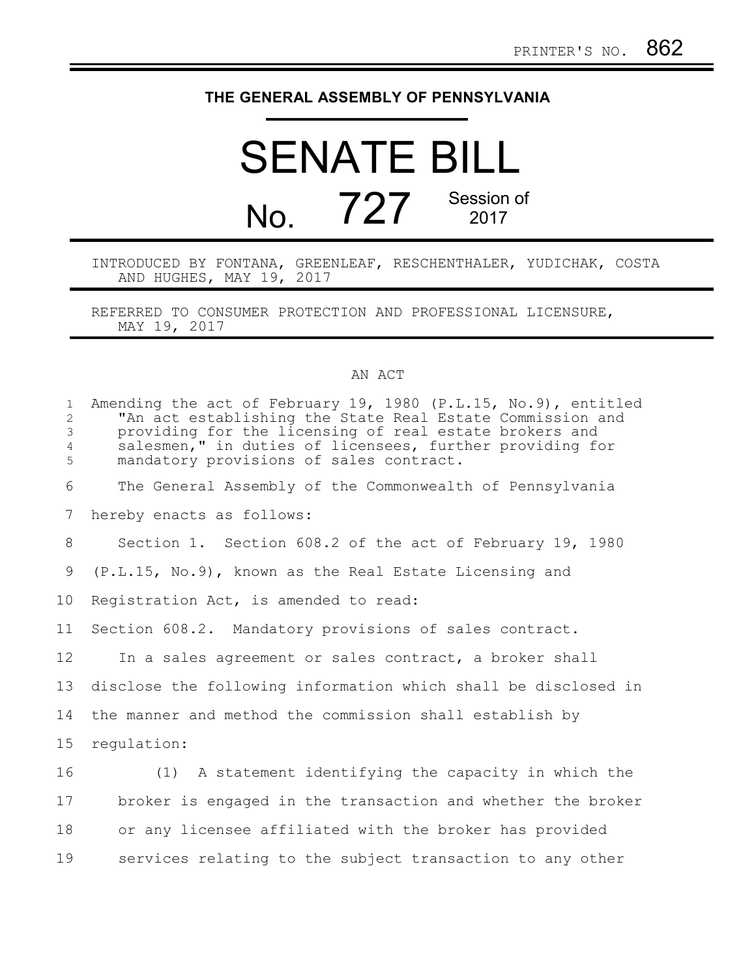## **THE GENERAL ASSEMBLY OF PENNSYLVANIA**

## SENATE BILL No. 727 Session of 2017

INTRODUCED BY FONTANA, GREENLEAF, RESCHENTHALER, YUDICHAK, COSTA AND HUGHES, MAY 19, 2017

REFERRED TO CONSUMER PROTECTION AND PROFESSIONAL LICENSURE, MAY 19, 2017

## AN ACT

| $\mathbf{1}$<br>$\overline{2}$<br>$\mathfrak{Z}$<br>$\overline{4}$<br>5 | Amending the act of February 19, 1980 (P.L.15, No.9), entitled<br>"An act establishing the State Real Estate Commission and<br>providing for the licensing of real estate brokers and<br>salesmen," in duties of licensees, further providing for<br>mandatory provisions of sales contract. |
|-------------------------------------------------------------------------|----------------------------------------------------------------------------------------------------------------------------------------------------------------------------------------------------------------------------------------------------------------------------------------------|
| 6                                                                       | The General Assembly of the Commonwealth of Pennsylvania                                                                                                                                                                                                                                     |
| 7                                                                       | hereby enacts as follows:                                                                                                                                                                                                                                                                    |
| 8                                                                       | Section 1. Section 608.2 of the act of February 19, 1980                                                                                                                                                                                                                                     |
| 9                                                                       | (P.L.15, No.9), known as the Real Estate Licensing and                                                                                                                                                                                                                                       |
| 10                                                                      | Registration Act, is amended to read:                                                                                                                                                                                                                                                        |
| 11                                                                      | Section 608.2. Mandatory provisions of sales contract.                                                                                                                                                                                                                                       |
| 12                                                                      | In a sales agreement or sales contract, a broker shall                                                                                                                                                                                                                                       |
| 13                                                                      | disclose the following information which shall be disclosed in                                                                                                                                                                                                                               |
| 14                                                                      | the manner and method the commission shall establish by                                                                                                                                                                                                                                      |
| 15                                                                      | regulation:                                                                                                                                                                                                                                                                                  |
| 16                                                                      | (1) A statement identifying the capacity in which the                                                                                                                                                                                                                                        |
| 17                                                                      | broker is engaged in the transaction and whether the broker                                                                                                                                                                                                                                  |
| 18                                                                      | or any licensee affiliated with the broker has provided                                                                                                                                                                                                                                      |
| 19                                                                      | services relating to the subject transaction to any other                                                                                                                                                                                                                                    |